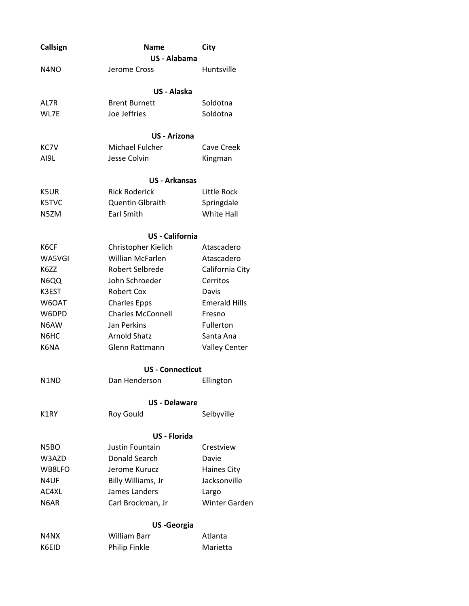| Callsign                      | <b>Name</b><br>City<br>US - Alabama    |                      |
|-------------------------------|----------------------------------------|----------------------|
|                               |                                        |                      |
| N <sub>4</sub> N <sub>O</sub> | Jerome Cross                           | Huntsville           |
|                               | <b>US - Alaska</b>                     |                      |
| AL7R                          | <b>Brent Burnett</b>                   | Soldotna             |
| WL7E                          | Joe Jeffries                           | Soldotna             |
|                               | US - Arizona                           |                      |
| KC7V                          | Michael Fulcher                        | Cave Creek           |
| AI9L                          | Jesse Colvin                           | Kingman              |
|                               | <b>US - Arkansas</b>                   |                      |
| K5UR                          | <b>Rick Roderick</b>                   | Little Rock          |
| K5TVC                         | Quentin Glbraith                       | Springdale           |
| N5ZM                          | Earl Smith                             | <b>White Hall</b>    |
|                               | <b>US</b> - California                 |                      |
| K6CF                          | Christopher Kielich                    | Atascadero           |
| WA5VGI                        | <b>Willian McFarlen</b>                | Atascadero           |
| K6ZZ                          | Robert Selbrede                        | California City      |
| N6QQ                          | John Schroeder                         | Cerritos             |
| K3EST                         | Robert Cox                             | Davis                |
| W6OAT                         | <b>Charles Epps</b>                    | <b>Emerald Hills</b> |
| W6DPD                         | <b>Charles McConnell</b>               | Fresno               |
| N6AW                          | Jan Perkins                            | Fullerton            |
| N6HC                          | <b>Arnold Shatz</b>                    | Santa Ana            |
| K6NA                          | Glenn Rattmann                         | <b>Valley Center</b> |
|                               | <b>US - Connecticut</b>                |                      |
| N1ND                          | Dan Henderson                          | Ellington            |
|                               |                                        |                      |
| K1RY                          | <b>US</b> - Delaware<br>Roy Gould      | Selbyville           |
|                               |                                        |                      |
| N5BO                          | <b>US</b> - Florida<br>Justin Fountain | Crestview            |
| W3AZD                         | Donald Search                          | Davie                |
| WB8LFO                        | Jerome Kurucz                          | <b>Haines City</b>   |
| N4UF                          | Billy Williams, Jr                     | Jacksonville         |
| AC4XL                         | James Landers<br>Largo                 |                      |
| N <sub>6</sub> AR             | Carl Brockman, Jr                      | <b>Winter Garden</b> |
|                               | <b>US-Georgia</b>                      |                      |
| N4NX                          | <b>William Barr</b>                    | Atlanta              |
| K6EID                         | Philip Finkle                          | Marietta             |
|                               |                                        |                      |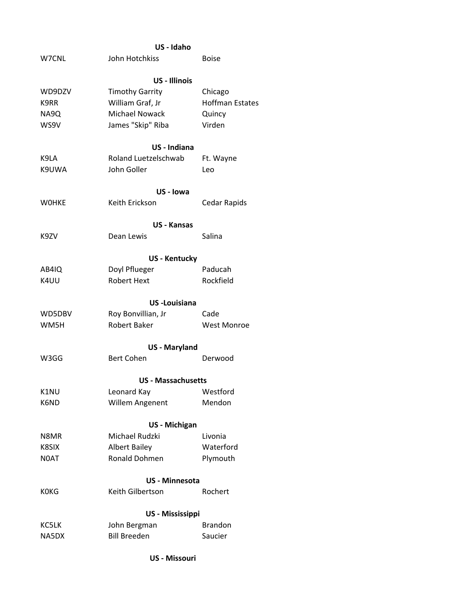|              | US - Idaho                |                        |  |
|--------------|---------------------------|------------------------|--|
| W7CNL        | John Hotchkiss            | <b>Boise</b>           |  |
|              | <b>US - Illinois</b>      |                        |  |
| WD9DZV       | <b>Timothy Garrity</b>    | Chicago                |  |
| K9RR         | William Graf, Jr          | <b>Hoffman Estates</b> |  |
| NA9Q         | <b>Michael Nowack</b>     | Quincy                 |  |
| WS9V         | James "Skip" Riba         | Virden                 |  |
|              | US - Indiana              |                        |  |
| K9LA         | Roland Luetzelschwab      | Ft. Wayne              |  |
| K9UWA        | John Goller               | Leo                    |  |
|              | US - Iowa                 |                        |  |
| <b>WOHKE</b> | Keith Erickson            | Cedar Rapids           |  |
|              | <b>US - Kansas</b>        |                        |  |
| K9ZV         | Dean Lewis                | Salina                 |  |
|              | <b>US - Kentucky</b>      |                        |  |
| AB4IQ        | Doyl Pflueger             | Paducah                |  |
| K4UU         | <b>Robert Hext</b>        | Rockfield              |  |
|              | <b>US-Louisiana</b>       |                        |  |
| WD5DBV       | Roy Bonvillian, Jr        | Cade                   |  |
| WM5H         | Robert Baker              | <b>West Monroe</b>     |  |
|              | <b>US</b> - Maryland      |                        |  |
| W3GG         | <b>Bert Cohen</b>         | Derwood                |  |
|              | <b>US - Massachusetts</b> |                        |  |
| K1NU         | Leonard Kay               | Westford               |  |
| K6ND         | Willem Angenent           | Mendon                 |  |
|              | US - Michigan             |                        |  |
| N8MR         | Michael Rudzki            | Livonia                |  |
| K8SIX        | <b>Albert Bailey</b>      | Waterford              |  |
| N0AT         | Ronald Dohmen             | Plymouth               |  |
|              | <b>US - Minnesota</b>     |                        |  |
| <b>KOKG</b>  | Keith Gilbertson          | Rochert                |  |
|              | US - Mississippi          |                        |  |
| KC5LK        | John Bergman              | <b>Brandon</b>         |  |
| NA5DX        | <b>Bill Breeden</b>       | Saucier                |  |
|              |                           |                        |  |

## **US - Missouri**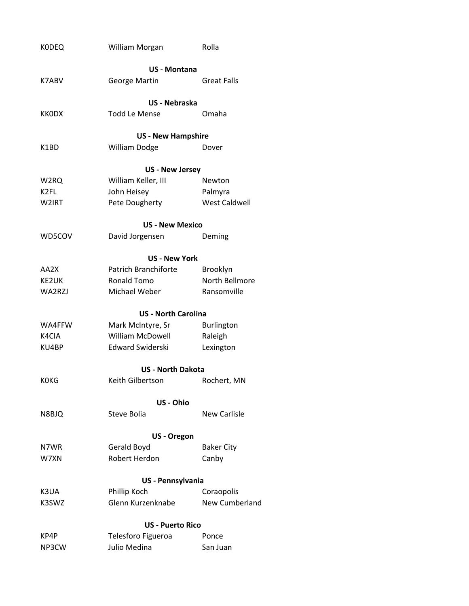| <b>KODEQ</b> | William Morgan             | Rolla                 |
|--------------|----------------------------|-----------------------|
|              | <b>US - Montana</b>        |                       |
| K7ABV        | <b>George Martin</b>       | <b>Great Falls</b>    |
|              | US - Nebraska              |                       |
| <b>KKODX</b> | <b>Todd Le Mense</b>       | Omaha                 |
|              | <b>US - New Hampshire</b>  |                       |
| K1BD         | <b>William Dodge</b>       | Dover                 |
|              | <b>US - New Jersey</b>     |                       |
| W2RQ         | William Keller, III        | Newton                |
| K2FL         | John Heisey                | Palmyra               |
| W2IRT        | Pete Dougherty             | <b>West Caldwell</b>  |
|              | <b>US - New Mexico</b>     |                       |
| WD5COV       | David Jorgensen            | Deming                |
|              | <b>US - New York</b>       |                       |
| AA2X         | Patrich Branchiforte       | Brooklyn              |
| KE2UK        | Ronald Tomo                | North Bellmore        |
| WA2RZJ       | Michael Weber              | Ransomville           |
|              | <b>US - North Carolina</b> |                       |
| WA4FFW       | Mark McIntyre, Sr          | <b>Burlington</b>     |
| K4CIA        | <b>William McDowell</b>    | Raleigh               |
| KU4BP        | Edward Swiderski           | Lexington             |
|              | <b>US - North Dakota</b>   |                       |
| <b>KOKG</b>  | Keith Gilbertson           | Rochert, MN           |
|              | US - Ohio                  |                       |
| N8BJQ        | Steve Bolia                | New Carlisle          |
|              | US - Oregon                |                       |
| N7WR         | Gerald Boyd                | <b>Baker City</b>     |
| W7XN         | <b>Robert Herdon</b>       | Canby                 |
|              | US - Pennsylvania          |                       |
| K3UA         | Phillip Koch               | Coraopolis            |
| K3SWZ        | Glenn Kurzenknabe          | <b>New Cumberland</b> |
|              | <b>US - Puerto Rico</b>    |                       |
| KP4P         | Telesforo Figueroa         | Ponce                 |
| NP3CW        | Julio Medina               | San Juan              |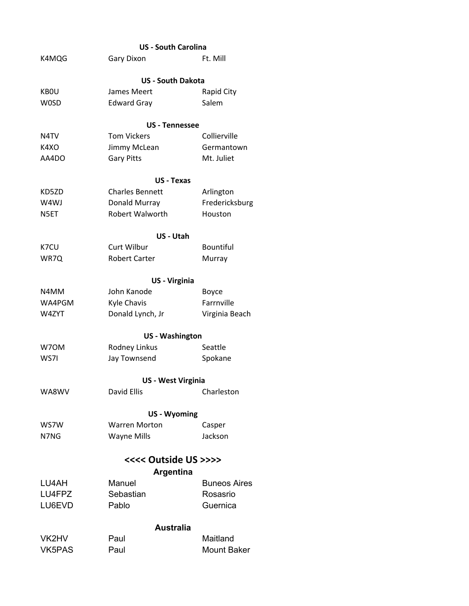|                   | <b>US - South Carolina</b> |                     |  |  |
|-------------------|----------------------------|---------------------|--|--|
| K4MQG             | Gary Dixon                 | Ft. Mill            |  |  |
|                   | <b>US - South Dakota</b>   |                     |  |  |
| <b>KBOU</b>       | James Meert                | <b>Rapid City</b>   |  |  |
| <b>WOSD</b>       | <b>Edward Gray</b>         | Salem               |  |  |
|                   | <b>US</b> - Tennessee      |                     |  |  |
| N <sub>4</sub> TV | <b>Tom Vickers</b>         | Collierville        |  |  |
| K4XO              | Jimmy McLean               | Germantown          |  |  |
| AA4DO             | <b>Gary Pitts</b>          | Mt. Juliet          |  |  |
|                   | <b>US</b> - Texas          |                     |  |  |
| KD5ZD             | <b>Charles Bennett</b>     | Arlington           |  |  |
| W4WJ              | Donald Murray              | Fredericksburg      |  |  |
| N5ET              | <b>Robert Walworth</b>     | Houston             |  |  |
|                   | US - Utah                  |                     |  |  |
| K7CU              | Curt Wilbur                | <b>Bountiful</b>    |  |  |
| WR7Q              | <b>Robert Carter</b>       | Murray              |  |  |
|                   | US - Virginia              |                     |  |  |
| N4MM              | John Kanode                | Boyce               |  |  |
| WA4PGM            | <b>Kyle Chavis</b>         | Farrnville          |  |  |
| W4ZYT             | Donald Lynch, Jr           | Virginia Beach      |  |  |
|                   | <b>US - Washington</b>     |                     |  |  |
| W70M              | Rodney Linkus              | Seattle             |  |  |
| WS7I              | Jay Townsend               | Spokane             |  |  |
|                   | <b>US - West Virginia</b>  |                     |  |  |
| WA8WV             | David Ellis                | Charleston          |  |  |
|                   | <b>US-Wyoming</b>          |                     |  |  |
| WS7W              | <b>Warren Morton</b>       | Casper              |  |  |
| N7NG              | <b>Wayne Mills</b>         | Jackson             |  |  |
|                   | <<<< Outside US >>>>       |                     |  |  |
|                   | <b>Argentina</b>           |                     |  |  |
| LU4AH             | Manuel                     | <b>Buneos Aires</b> |  |  |
| LU4FPZ            | Sebastian                  | Rosasrio            |  |  |
| LU6EVD            | Pablo                      | Guernica            |  |  |
|                   | <b>Australia</b>           |                     |  |  |
| VK2HV             | Paul                       | Maitland            |  |  |
| VK5PAS            | Paul                       | Mount Baker         |  |  |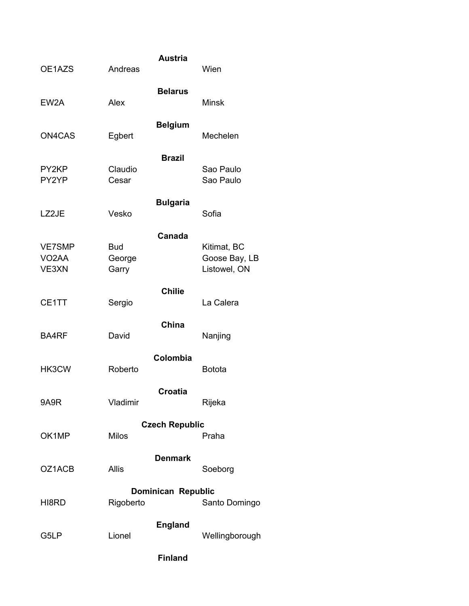| OE1AZS                                       | Andreas                       | <b>Austria</b>            | Wien                                         |
|----------------------------------------------|-------------------------------|---------------------------|----------------------------------------------|
| EW <sub>2</sub> A                            | Alex                          | <b>Belarus</b>            | <b>Minsk</b>                                 |
| ON4CAS                                       | Egbert                        | <b>Belgium</b>            | Mechelen                                     |
| PY2KP<br>PY2YP                               | Claudio<br>Cesar              | <b>Brazil</b>             | Sao Paulo<br>Sao Paulo                       |
| LZ2JE                                        | Vesko                         | <b>Bulgaria</b>           | Sofia                                        |
| <b>VE7SMP</b><br>VO <sub>2</sub> AA<br>VE3XN | <b>Bud</b><br>George<br>Garry | Canada                    | Kitimat, BC<br>Goose Bay, LB<br>Listowel, ON |
| CE1TT                                        | Sergio                        | <b>Chilie</b>             | La Calera                                    |
| <b>BA4RF</b>                                 | David                         | China                     | Nanjing                                      |
| HK3CW                                        | Roberto                       | Colombia                  | <b>Botota</b>                                |
| 9A9R                                         | Vladimir                      | <b>Croatia</b>            | Rijeka                                       |
| OK1MP                                        | <b>Milos</b>                  | <b>Czech Republic</b>     | Praha                                        |
| OZ1ACB                                       | Allis                         | <b>Denmark</b>            | Soeborg                                      |
| HI8RD                                        | Rigoberto                     | <b>Dominican Republic</b> | Santo Domingo                                |
| G5LP                                         | Lionel                        | <b>England</b>            | Wellingborough                               |
|                                              |                               | <b>Finland</b>            |                                              |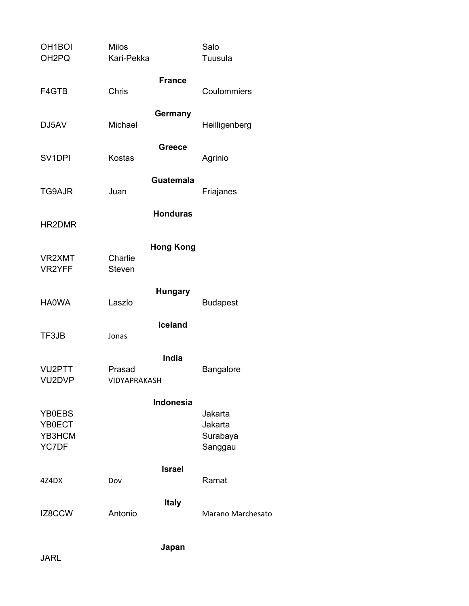| OH <sub>1</sub> BOI<br>OH <sub>2</sub> PQ | <b>Milos</b><br>Kari-Pekka |                  | Salo<br>Tuusula          |
|-------------------------------------------|----------------------------|------------------|--------------------------|
|                                           |                            | <b>France</b>    |                          |
| F4GTB                                     | Chris                      |                  | Coulommiers              |
| DJ5AV                                     | Michael                    | Germany          | Heilligenberg            |
| SV <sub>1DPI</sub>                        | <b>Kostas</b>              | <b>Greece</b>    | Agrinio                  |
| TG9AJR                                    | Juan                       | <b>Guatemala</b> | Friajanes                |
| HR2DMR                                    |                            | <b>Honduras</b>  |                          |
|                                           |                            | <b>Hong Kong</b> |                          |
| VR2XMT<br>VR2YFF                          | Charlie<br><b>Steven</b>   |                  |                          |
| <b>HA0WA</b>                              | Laszlo                     | <b>Hungary</b>   | <b>Budapest</b>          |
|                                           |                            | <b>Iceland</b>   |                          |
| TF3JB                                     | Jonas                      |                  |                          |
|                                           |                            | India            |                          |
| VU <sub>2</sub> PTT<br>VU2DVP             | Prasad<br>VIDYAPRAKASH     |                  | Bangalore                |
|                                           |                            | <b>Indonesia</b> |                          |
| YB0EBS<br>YB0ECT                          |                            |                  | Jakarta<br>Jakarta       |
| YB3HCM                                    |                            |                  | Surabaya                 |
| YC7DF                                     |                            |                  | Sanggau                  |
| 4Z4DX                                     | Dov                        | <b>Israel</b>    | Ramat                    |
| IZ8CCW                                    | Antonio                    | <b>Italy</b>     | <b>Marano Marchesato</b> |
|                                           |                            | Japan            |                          |
|                                           |                            |                  |                          |

JARL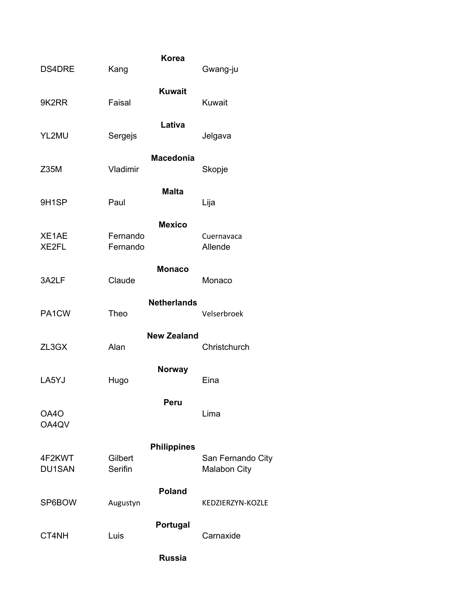| <b>DS4DRE</b>           | Kang                 | <b>Korea</b>       | Gwang-ju                                 |
|-------------------------|----------------------|--------------------|------------------------------------------|
| 9K2RR                   | Faisal               | <b>Kuwait</b>      | Kuwait                                   |
| YL2MU                   | Sergejs              | Lativa             | Jelgava                                  |
| Z35M                    | Vladimir             | <b>Macedonia</b>   | Skopje                                   |
| 9H1SP                   | Paul                 | <b>Malta</b>       | Lija                                     |
| XE1AE<br>XE2FL          | Fernando<br>Fernando | <b>Mexico</b>      | Cuernavaca<br>Allende                    |
| 3A2LF                   | Claude               | <b>Monaco</b>      | Monaco                                   |
| PA1CW                   | Theo                 | <b>Netherlands</b> | Velserbroek                              |
| ZL3GX                   | Alan                 | <b>New Zealand</b> | Christchurch                             |
| LA5YJ                   | Hugo                 | <b>Norway</b>      | Eina                                     |
| OA4O<br>OA4QV           |                      | <b>Peru</b>        | Lima                                     |
| 4F2KWT<br><b>DU1SAN</b> | Gilbert<br>Serifin   | <b>Philippines</b> | San Fernando City<br><b>Malabon City</b> |
| SP6BOW                  | Augustyn             | <b>Poland</b>      | KEDZIERZYN-KOZLE                         |
| CT4NH                   | Luis                 | Portugal           | Carnaxide                                |
|                         |                      | <b>Russia</b>      |                                          |